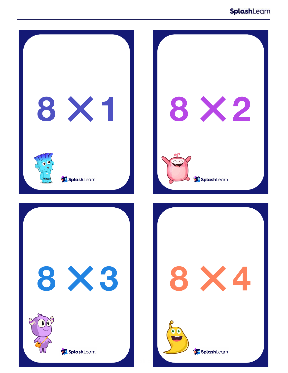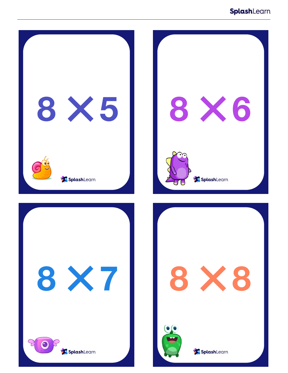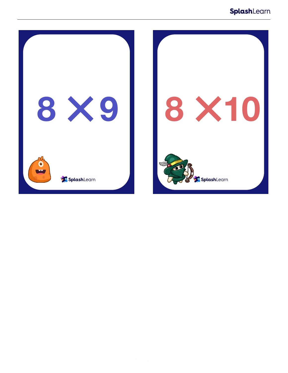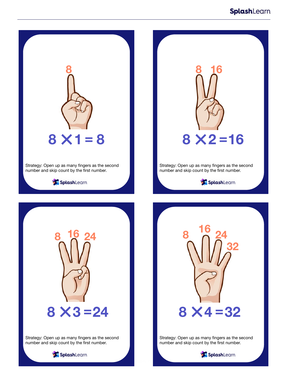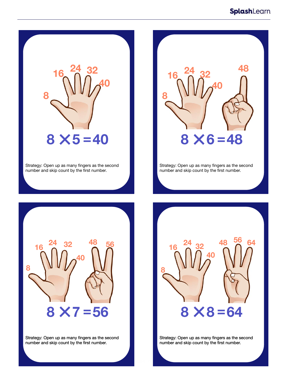

Strategy: Open up as many fingers as the second number and skip count by the first number.



Strategy: Open up as many fingers as the second number and skip count by the first number.



Strategy: Open up as many fingers as the second number and skip count by the first number.



Strategy: Open up as many fingers as the second number and skip count by the first number.